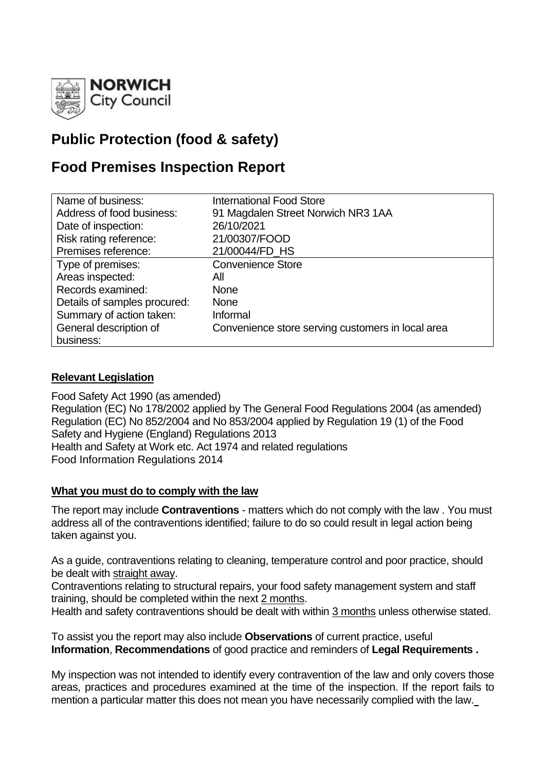

# **Public Protection (food & safety)**

# **Food Premises Inspection Report**

| Name of business:            | <b>International Food Store</b>                   |
|------------------------------|---------------------------------------------------|
| Address of food business:    | 91 Magdalen Street Norwich NR3 1AA                |
| Date of inspection:          | 26/10/2021                                        |
| Risk rating reference:       | 21/00307/FOOD                                     |
| Premises reference:          | 21/00044/FD HS                                    |
| Type of premises:            | <b>Convenience Store</b>                          |
| Areas inspected:             | All                                               |
| Records examined:            | <b>None</b>                                       |
| Details of samples procured: | <b>None</b>                                       |
| Summary of action taken:     | Informal                                          |
| General description of       | Convenience store serving customers in local area |
| business:                    |                                                   |

## **Relevant Legislation**

Food Safety Act 1990 (as amended) Regulation (EC) No 178/2002 applied by The General Food Regulations 2004 (as amended) Regulation (EC) No 852/2004 and No 853/2004 applied by Regulation 19 (1) of the Food Safety and Hygiene (England) Regulations 2013 Health and Safety at Work etc. Act 1974 and related regulations Food Information Regulations 2014

#### **What you must do to comply with the law**

The report may include **Contraventions** - matters which do not comply with the law . You must address all of the contraventions identified; failure to do so could result in legal action being taken against you.

As a guide, contraventions relating to cleaning, temperature control and poor practice, should be dealt with straight away.

Contraventions relating to structural repairs, your food safety management system and staff training, should be completed within the next 2 months.

Health and safety contraventions should be dealt with within 3 months unless otherwise stated.

To assist you the report may also include **Observations** of current practice, useful **Information**, **Recommendations** of good practice and reminders of **Legal Requirements .**

My inspection was not intended to identify every contravention of the law and only covers those areas, practices and procedures examined at the time of the inspection. If the report fails to mention a particular matter this does not mean you have necessarily complied with the law.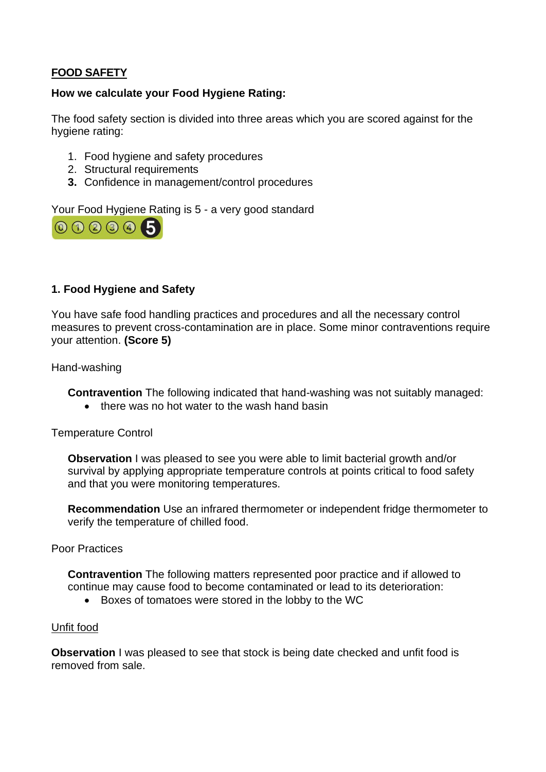# **FOOD SAFETY**

### **How we calculate your Food Hygiene Rating:**

The food safety section is divided into three areas which you are scored against for the hygiene rating:

- 1. Food hygiene and safety procedures
- 2. Structural requirements
- **3.** Confidence in management/control procedures

Your Food Hygiene Rating is 5 - a very good standard



## **1. Food Hygiene and Safety**

You have safe food handling practices and procedures and all the necessary control measures to prevent cross-contamination are in place. Some minor contraventions require your attention. **(Score 5)**

Hand-washing

**Contravention** The following indicated that hand-washing was not suitably managed:

• there was no hot water to the wash hand basin

Temperature Control

**Observation I** was pleased to see you were able to limit bacterial growth and/or survival by applying appropriate temperature controls at points critical to food safety and that you were monitoring temperatures.

**Recommendation** Use an infrared thermometer or independent fridge thermometer to verify the temperature of chilled food.

#### Poor Practices

**Contravention** The following matters represented poor practice and if allowed to continue may cause food to become contaminated or lead to its deterioration:

• Boxes of tomatoes were stored in the lobby to the WC

#### Unfit food

**Observation** I was pleased to see that stock is being date checked and unfit food is removed from sale.